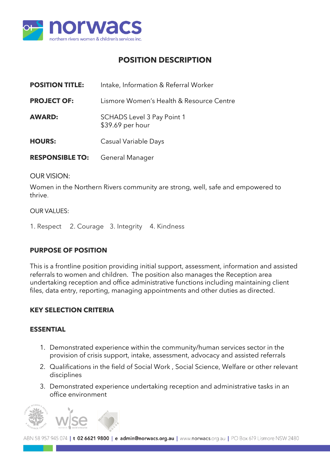

# **POSITION DESCRIPTION**

| <b>POSITION TITLE:</b> | Intake, Information & Referral Worker                 |  |
|------------------------|-------------------------------------------------------|--|
| <b>PROJECT OF:</b>     | Lismore Women's Health & Resource Centre              |  |
| <b>AWARD:</b>          | <b>SCHADS Level 3 Pay Point 1</b><br>\$39.69 per hour |  |
| <b>HOURS:</b>          | Casual Variable Days                                  |  |
| <b>RESPONSIBLE TO:</b> | General Manager                                       |  |

#### OUR VISION:

Women in the Northern Rivers community are strong, well, safe and empowered to thrive.

#### OUR VALUES:

1. Respect 2. Courage 3. Integrity 4. Kindness

# **PURPOSE OF POSITION**

This is a frontline position providing initial support, assessment, information and assisted referrals to women and children. The position also manages the Reception area undertaking reception and office administrative functions including maintaining client files, data entry, reporting, managing appointments and other duties as directed.

# **KEY SELECTION CRITERIA**

#### **ESSENTIAL**

- 1. Demonstrated experience within the community/human services sector in the provision of crisis support, intake, assessment, advocacy and assisted referrals
- 2. Qualifications in the field of Social Work , Social Science, Welfare or other relevant disciplines
- 3. Demonstrated experience undertaking reception and administrative tasks in an office environment



ABN 58 957 945 074 | t 02 6621 9800 | e admin@norwacs.org.au | www.norwacs.org.au | PO Box 619 Lismore NSW 2480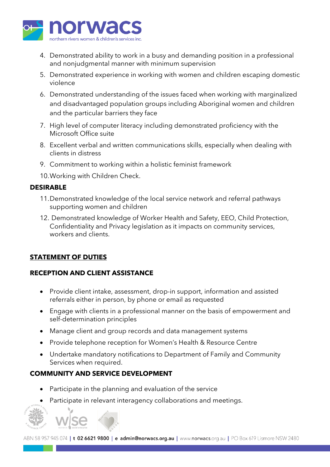

- 4. Demonstrated ability to work in a busy and demanding position in a professional and nonjudgmental manner with minimum supervision
- 5. Demonstrated experience in working with women and children escaping domestic violence
- 6. Demonstrated understanding of the issues faced when working with marginalized and disadvantaged population groups including Aboriginal women and children and the particular barriers they face
- 7. High level of computer literacy including demonstrated proficiency with the Microsoft Office suite
- 8. Excellent verbal and written communications skills, especially when dealing with clients in distress
- 9. Commitment to working within a holistic feminist framework
- 10.Working with Children Check.

# **DESIRABLE**

- 11.Demonstrated knowledge of the local service network and referral pathways supporting women and children
- 12. Demonstrated knowledge of Worker Health and Safety, EEO, Child Protection, Confidentiality and Privacy legislation as it impacts on community services, workers and clients.

# **STATEMENT OF DUTIES**

# **RECEPTION AND CLIENT ASSISTANCE**

- Provide client intake, assessment, drop-in support, information and assisted referrals either in person, by phone or email as requested
- Engage with clients in a professional manner on the basis of empowerment and self-determination principles
- Manage client and group records and data management systems
- Provide telephone reception for Women's Health & Resource Centre
- Undertake mandatory notifications to Department of Family and Community Services when required.

# **COMMUNITY AND SERVICE DEVELOPMENT**

- Participate in the planning and evaluation of the service
- Participate in relevant interagency collaborations and meetings.

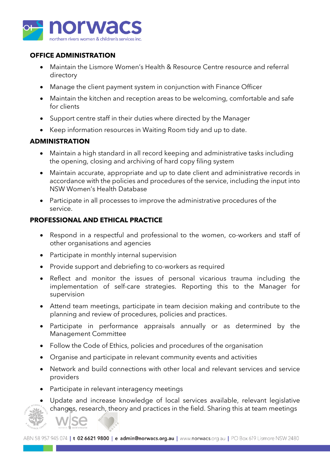

#### **OFFICE ADMINISTRATION**

- Maintain the Lismore Women's Health & Resource Centre resource and referral directory
- Manage the client payment system in conjunction with Finance Officer
- Maintain the kitchen and reception areas to be welcoming, comfortable and safe for clients
- Support centre staff in their duties where directed by the Manager
- Keep information resources in Waiting Room tidy and up to date.

#### **ADMINISTRATION**

- Maintain a high standard in all record keeping and administrative tasks including the opening, closing and archiving of hard copy filing system
- Maintain accurate, appropriate and up to date client and administrative records in accordance with the policies and procedures of the service, including the input into NSW Women's Health Database
- Participate in all processes to improve the administrative procedures of the service.

# **PROFESSIONAL AND ETHICAL PRACTICE**

- Respond in a respectful and professional to the women, co-workers and staff of other organisations and agencies
- Participate in monthly internal supervision
- Provide support and debriefing to co-workers as required
- Reflect and monitor the issues of personal vicarious trauma including the implementation of self-care strategies. Reporting this to the Manager for supervision
- Attend team meetings, participate in team decision making and contribute to the planning and review of procedures, policies and practices.
- Participate in performance appraisals annually or as determined by the Management Committee
- Follow the Code of Ethics, policies and procedures of the organisation
- Organise and participate in relevant community events and activities
- Network and build connections with other local and relevant services and service providers
- Participate in relevant interagency meetings
- Update and increase knowledge of local services available, relevant legislative changes, research, theory and practices in the field. Sharing this at team meetings

ABN 58 957 945 074 | t 02 6621 9800 | e admin@norwacs.org.au | www.norwacs.org.au | PO Box 619 Lismore NSW 2480